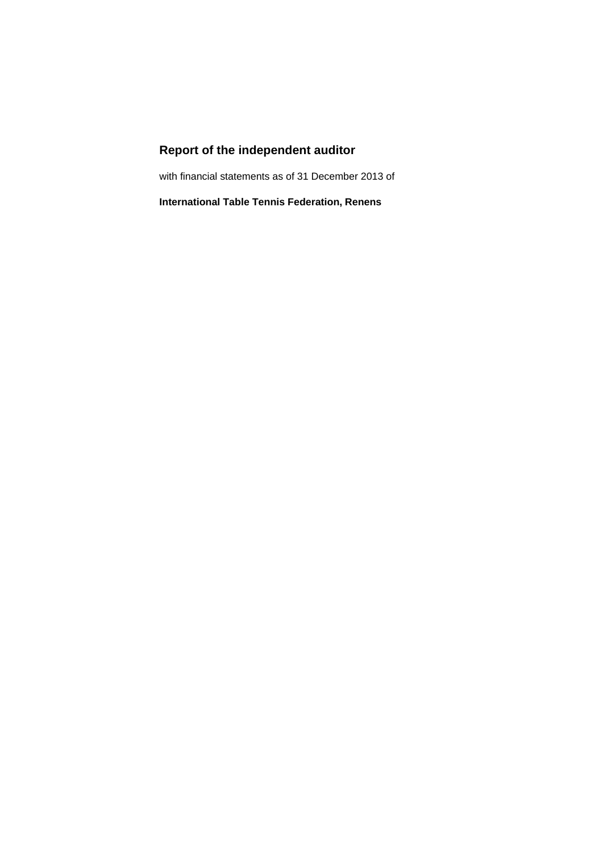# **Report of the independent auditor**

with financial statements as of 31 December 2013 of

**International Table Tennis Federation, Renens**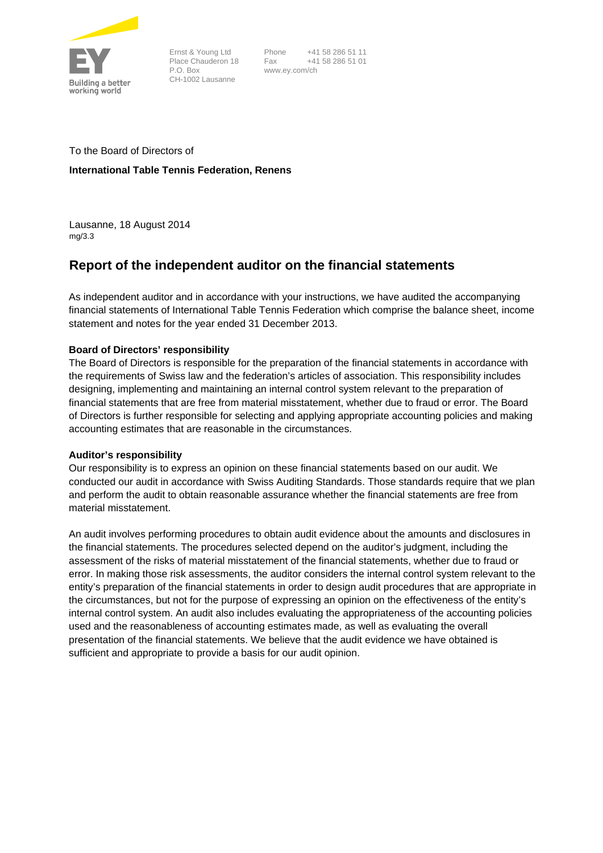

Ernst & Young Ltd Place Chauderon 18 P.O. Box CH-1002 Lausanne

Phone +41 58 286 51 11 Fax +41 58 286 51 01 www.ey.com/ch

To the Board of Directors of **International Table Tennis Federation, Renens**

Lausanne, 18 August 2014 mg/3.3

# **Report of the independent auditor on the financial statements**

As independent auditor and in accordance with your instructions, we have audited the accompanying financial statements of International Table Tennis Federation which comprise the balance sheet, income statement and notes for the year ended 31 December 2013.

## **Board of Directors' responsibility**

The Board of Directors is responsible for the preparation of the financial statements in accordance with the requirements of Swiss law and the federation's articles of association. This responsibility includes designing, implementing and maintaining an internal control system relevant to the preparation of financial statements that are free from material misstatement, whether due to fraud or error. The Board of Directors is further responsible for selecting and applying appropriate accounting policies and making accounting estimates that are reasonable in the circumstances.

## **Auditor's responsibility**

Our responsibility is to express an opinion on these financial statements based on our audit. We conducted our audit in accordance with Swiss Auditing Standards. Those standards require that we plan and perform the audit to obtain reasonable assurance whether the financial statements are free from material misstatement.

An audit involves performing procedures to obtain audit evidence about the amounts and disclosures in the financial statements. The procedures selected depend on the auditor's judgment, including the assessment of the risks of material misstatement of the financial statements, whether due to fraud or error. In making those risk assessments, the auditor considers the internal control system relevant to the entity's preparation of the financial statements in order to design audit procedures that are appropriate in the circumstances, but not for the purpose of expressing an opinion on the effectiveness of the entity's internal control system. An audit also includes evaluating the appropriateness of the accounting policies used and the reasonableness of accounting estimates made, as well as evaluating the overall presentation of the financial statements. We believe that the audit evidence we have obtained is sufficient and appropriate to provide a basis for our audit opinion.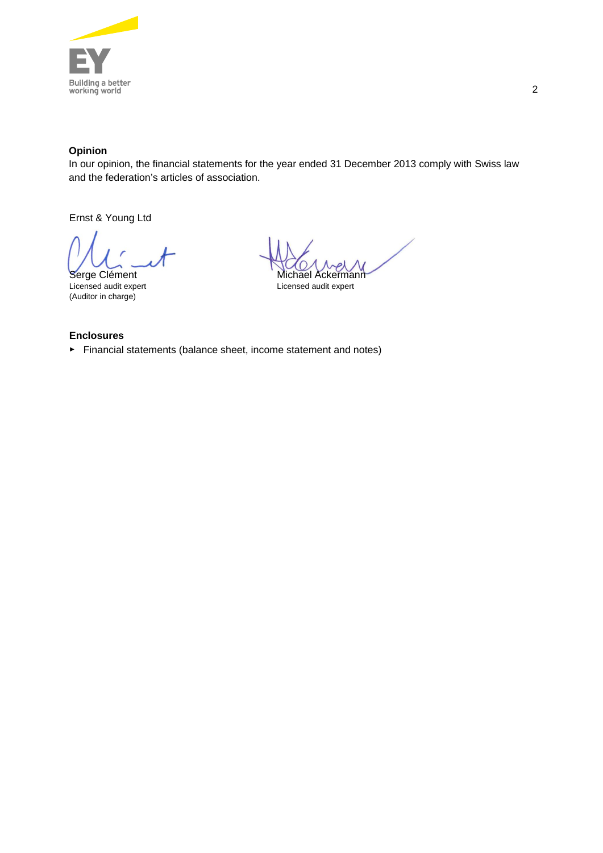

# **Opinion**

In our opinion, the financial statements for the year ended 31 December 2013 comply with Swiss law and the federation's articles of association.

Ernst & Young Ltd

Licensed audit expert **Licensed audit expert** (Auditor in charge)

Serge Clément Michael Ackermann

**Enclosures**

► Financial statements (balance sheet, income statement and notes)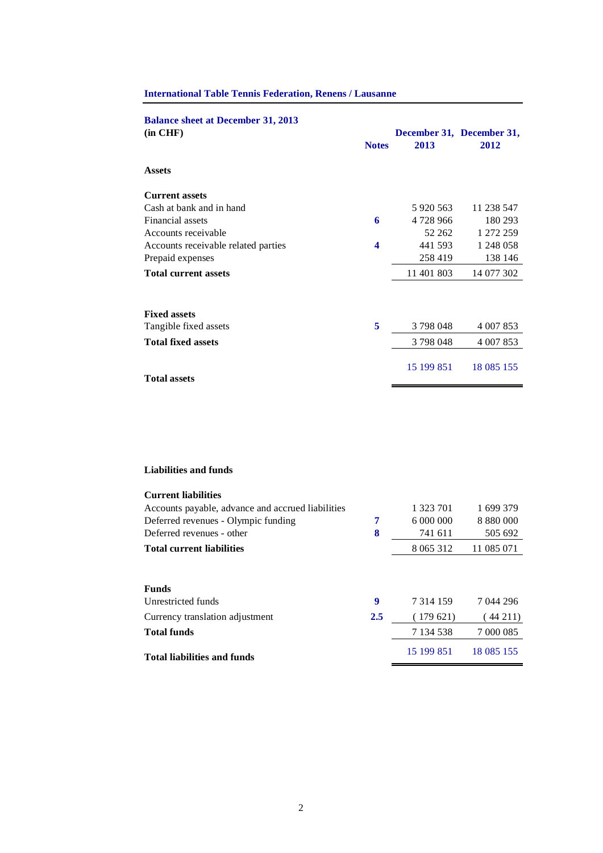| <b>Balance sheet at December 31, 2013</b><br>$(in$ CHF $)$ |              |            | December 31, December 31, |
|------------------------------------------------------------|--------------|------------|---------------------------|
|                                                            | <b>Notes</b> | 2013       | 2012                      |
| <b>Assets</b>                                              |              |            |                           |
| <b>Current assets</b>                                      |              |            |                           |
| Cash at bank and in hand                                   |              | 5920563    | 11 238 547                |
| Financial assets                                           | 6            | 4728966    | 180 293                   |
| Accounts receivable                                        |              | 52 262     | 1 272 259                 |
| Accounts receivable related parties                        | 4            | 441 593    | 1 248 058                 |
| Prepaid expenses                                           |              | 258419     | 138 146                   |
| <b>Total current assets</b>                                |              | 11 401 803 | 14 077 302                |
|                                                            |              |            |                           |
| <b>Fixed assets</b>                                        |              |            |                           |
| Tangible fixed assets                                      | 5            | 3798048    | 4 007 853                 |
| <b>Total fixed assets</b>                                  |              | 3798048    | 4 007 853                 |
| <b>Total assets</b>                                        |              | 15 199 851 | 18 085 155                |

### **International Table Tennis Federation, Renens / Lausanne**

### **Liabilities and funds**

| <b>Current liabilities</b><br>Accounts payable, advance and accrued liabilities<br>Deferred revenues - Olympic funding<br>Deferred revenues - other | 7<br>8 | 1 323 701<br>6 000 000<br>741 611 | 1699379<br>505 692 |
|-----------------------------------------------------------------------------------------------------------------------------------------------------|--------|-----------------------------------|--------------------|
| <b>Total current liabilities</b>                                                                                                                    |        | 8 0 6 5 3 1 2                     | 11 085 071         |
| <b>Funds</b>                                                                                                                                        |        |                                   |                    |
| Unrestricted funds                                                                                                                                  | 9      | 7 3 1 4 1 5 9                     | 7 044 296          |
| Currency translation adjustment                                                                                                                     | 2.5    | (179621)                          | 44 211)            |
| <b>Total funds</b>                                                                                                                                  |        | 7 134 538                         | 7 000 085          |
| <b>Total liabilities and funds</b>                                                                                                                  |        | 15 199 851                        | 18 085 155         |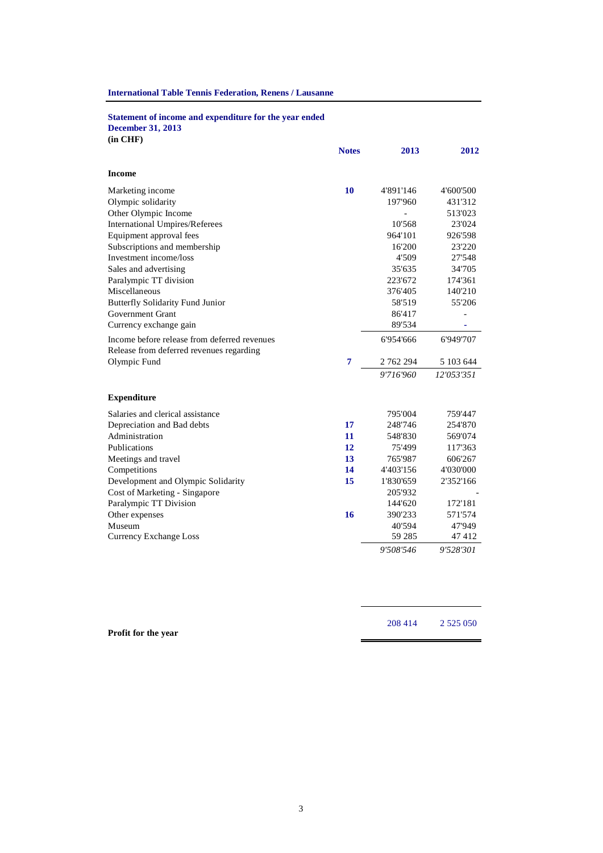| $(in$ $CHF)$                                 |              |           |            |
|----------------------------------------------|--------------|-----------|------------|
|                                              | <b>Notes</b> | 2013      | 2012       |
| <b>Income</b>                                |              |           |            |
| Marketing income                             | 10           | 4'891'146 | 4'600'500  |
| Olympic solidarity                           |              | 197'960   | 431'312    |
| Other Olympic Income                         |              |           | 513'023    |
| <b>International Umpires/Referees</b>        |              | 10'568    | 23'024     |
| Equipment approval fees                      |              | 964'101   | 926'598    |
| Subscriptions and membership                 |              | 16'200    | 23'220     |
| Investment income/loss                       |              | 4'509     | 27'548     |
| Sales and advertising                        |              | 35'635    | 34'705     |
| Paralympic TT division                       |              | 223'672   | 174'361    |
| Miscellaneous                                |              | 376'405   | 140'210    |
| <b>Butterfly Solidarity Fund Junior</b>      |              | 58'519    | 55'206     |
| Government Grant                             |              | 86'417    |            |
| Currency exchange gain                       |              | 89'534    |            |
| Income before release from deferred revenues |              | 6'954'666 | 6'949'707  |
| Release from deferred revenues regarding     |              |           |            |
| Olympic Fund                                 | 7            | 2 762 294 | 5 103 644  |
|                                              |              | 9'716'960 | 12'053'351 |
| <b>Expenditure</b>                           |              |           |            |
| Salaries and clerical assistance             |              | 795'004   | 759'447    |
| Depreciation and Bad debts                   | 17           | 248'746   | 254'870    |
| Administration                               | 11           | 548'830   | 569'074    |
| Publications                                 | 12           | 75'499    | 117'363    |
| Meetings and travel                          | 13           | 765'987   | 606'267    |
| Competitions                                 | 14           | 4'403'156 | 4'030'000  |
| Development and Olympic Solidarity           | 15           | 1'830'659 | 2'352'166  |
| Cost of Marketing - Singapore                |              | 205'932   |            |
| Paralympic TT Division                       |              | 144'620   | 172'181    |
| Other expenses                               | 16           | 390'233   | 571'574    |
| Museum                                       |              | 40'594    | 47'949     |
| <b>Currency Exchange Loss</b>                |              | 59 28 5   | 47412      |
|                                              |              | 9'508'546 | 9'528'301  |

**International Table Tennis Federation, Renens / Lausanne**

**Statement of income and expenditure for the year ended**

**December 31, 2013**

**Profit for the year**

208 414 2 525 050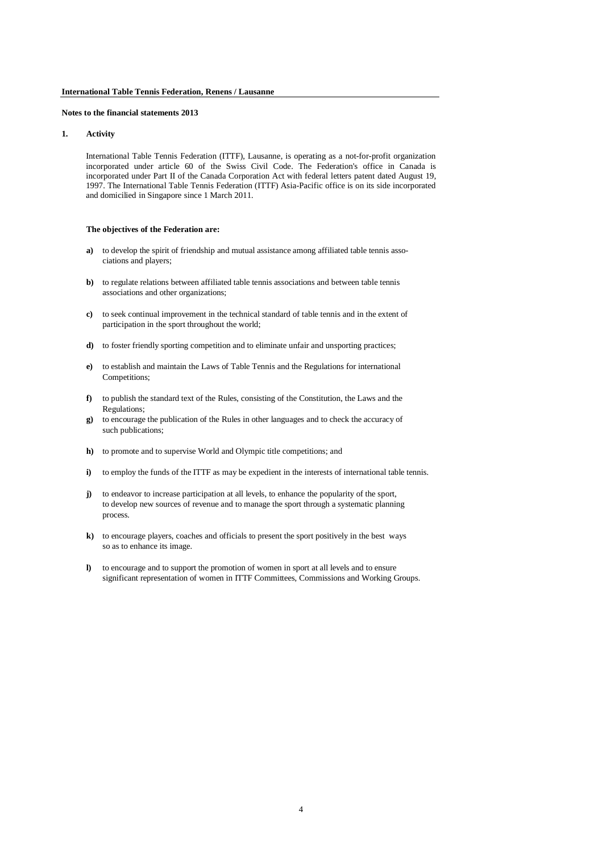#### **1. Activity**

International Table Tennis Federation (ITTF), Lausanne, is operating as a not-for-profit organization incorporated under article 60 of the Swiss Civil Code. The Federation's office in Canada is incorporated under Part II of the Canada Corporation Act with federal letters patent dated August 19, 1997. The International Table Tennis Federation (ITTF) Asia-Pacific office is on its side incorporated and domicilied in Singapore since 1 March 2011.

#### **The objectives of the Federation are:**

- **a)** to develop the spirit of friendship and mutual assistance among affiliated table tennis associations and players;
- **b**) to regulate relations between affiliated table tennis associations and between table tennis associations and other organizations;
- **c)** to seek continual improvement in the technical standard of table tennis and in the extent of participation in the sport throughout the world;
- **d)** to foster friendly sporting competition and to eliminate unfair and unsporting practices;
- **e)** to establish and maintain the Laws of Table Tennis and the Regulations for international Competitions;
- **f)** to publish the standard text of the Rules, consisting of the Constitution, the Laws and the Regulations;
- **g)** to encourage the publication of the Rules in other languages and to check the accuracy of such publications;
- **h)** to promote and to supervise World and Olympic title competitions; and
- **i**) to employ the funds of the ITTF as may be expedient in the interests of international table tennis.
- **j)** to endeavor to increase participation at all levels, to enhance the popularity of the sport, to develop new sources of revenue and to manage the sport through a systematic planning process.
- **k)** to encourage players, coaches and officials to present the sport positively in the best ways so as to enhance its image.
- **l)** to encourage and to support the promotion of women in sport at all levels and to ensure significant representation of women in ITTF Committees, Commissions and Working Groups.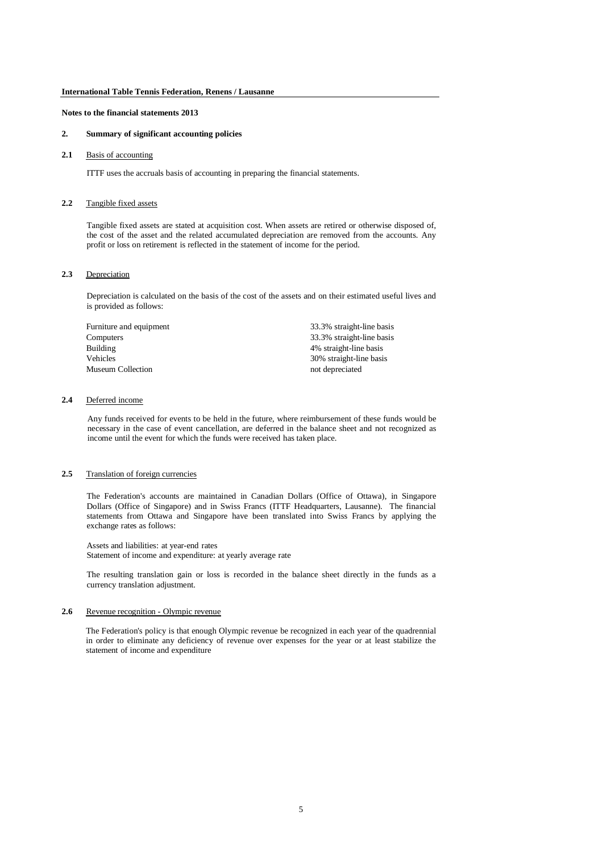#### **2. Summary of significant accounting policies**

#### **2.1** Basis of accounting

ITTF uses the accruals basis of accounting in preparing the financial statements.

### **2.2** Tangible fixed assets

Tangible fixed assets are stated at acquisition cost. When assets are retired or otherwise disposed of, the cost of the asset and the related accumulated depreciation are removed from the accounts. Any profit or loss on retirement is reflected in the statement of income for the period.

### **2.3** Depreciation

Depreciation is calculated on the basis of the cost of the assets and on their estimated useful lives and is provided as follows:

| Furniture and equipment | 33.3% straight-line basis |
|-------------------------|---------------------------|
| Computers               | 33.3% straight-line basis |
| Building                | 4% straight-line basis    |
| Vehicles                | 30% straight-line basis   |
| Museum Collection       | not depreciated           |

#### **2.4** Deferred income

Any funds received for events to be held in the future, where reimbursement of these funds would be necessary in the case of event cancellation, are deferred in the balance sheet and not recognized as income until the event for which the funds were received has taken place.

### 2.5 Translation of foreign currencies

The Federation's accounts are maintained in Canadian Dollars (Office of Ottawa), in Singapore Dollars (Office of Singapore) and in Swiss Francs (ITTF Headquarters, Lausanne). The financial statements from Ottawa and Singapore have been translated into Swiss Francs by applying the exchange rates as follows:

Assets and liabilities: at year-end rates Statement of income and expenditure: at yearly average rate

The resulting translation gain or loss is recorded in the balance sheet directly in the funds as a currency translation adjustment.

#### 2.6 Revenue recognition - Olympic revenue

The Federation's policy is that enough Olympic revenue be recognized in each year of the quadrennial in order to eliminate any deficiency of revenue over expenses for the year or at least stabilize the statement of income and expenditure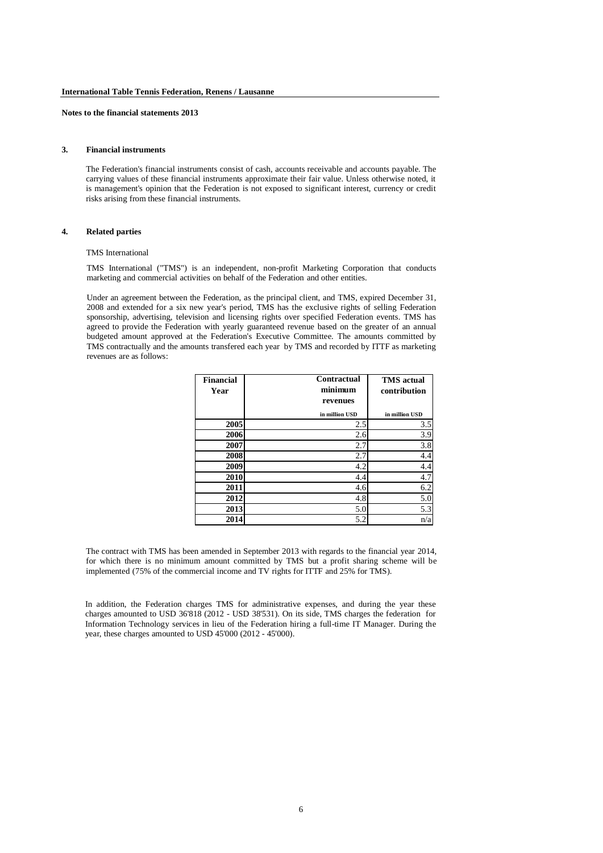#### **3. Financial instruments**

The Federation's financial instruments consist of cash, accounts receivable and accounts payable. The carrying values of these financial instruments approximate their fair value. Unless otherwise noted, it is management's opinion that the Federation is not exposed to significant interest, currency or credit risks arising from these financial instruments.

#### **4. Related parties**

#### TMS International

TMS International ("TMS") is an independent, non-profit Marketing Corporation that conducts marketing and commercial activities on behalf of the Federation and other entities.

Under an agreement between the Federation, as the principal client, and TMS, expired December 31, 2008 and extended for a six new year's period, TMS has the exclusive rights of selling Federation sponsorship, advertising, television and licensing rights over specified Federation events. TMS has agreed to provide the Federation with yearly guaranteed revenue based on the greater of an annual budgeted amount approved at the Federation's Executive Committee. The amounts committed by TMS contractually and the amounts transfered each year by TMS and recorded by ITTF as marketing revenues are as follows:

| <b>Financial</b> | <b>Contractual</b> | <b>TMS</b> actual |
|------------------|--------------------|-------------------|
| Year             | minimum            | contribution      |
|                  | revenues           |                   |
|                  | in million USD     | in million USD    |
| 2005             | 2.5                | 3.5               |
| 2006             | 2.6                | 3.9               |
| 2007             | 2.7                | $3.8\,$           |
| 2008             | 2.7                | 4.4               |
| 2009             | 4.2                | 4.4               |
| 2010             | 4.4                | 4.7               |
| 2011             | 4.6                | 6.2               |
| 2012             | 4.8                | 5.0               |
| 2013             | 5.0                | 5.3               |
| 2014             | 5.2                | n/a               |

The contract with TMS has been amended in September 2013 with regards to the financial year 2014, for which there is no minimum amount committed by TMS but a profit sharing scheme will be implemented (75% of the commercial income and TV rights for ITTF and 25% for TMS).

In addition, the Federation charges TMS for administrative expenses, and during the year these charges amounted to USD 36'818 (2012 - USD 38'531). On its side, TMS charges the federation for Information Technology services in lieu of the Federation hiring a full-time IT Manager. During the year, these charges amounted to USD 45'000 (2012 - 45'000).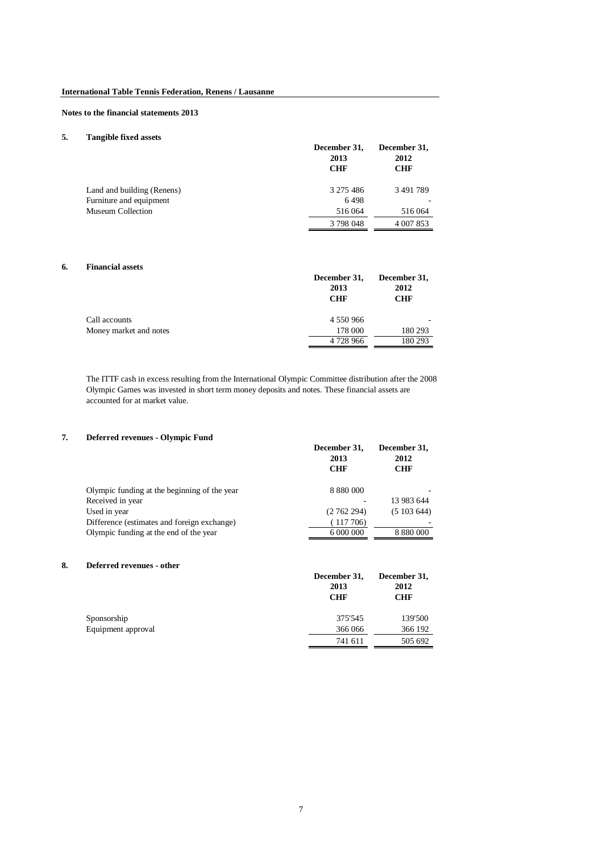### **5. Tangible fixed assets**

|                            | December 31,<br>2013<br><b>CHF</b> | December 31,<br>2012<br><b>CHF</b> |
|----------------------------|------------------------------------|------------------------------------|
| Land and building (Renens) | 3 2 7 5 4 8 6                      | 3491789                            |
| Furniture and equipment    | 6498                               |                                    |
| Museum Collection          | 516 064                            | 516064                             |
|                            | 3798048                            | 4 007 853                          |

#### **6. Financial assets**

|                        | December 31,<br>2013<br><b>CHF</b> | December 31,<br>2012<br><b>CHF</b> |
|------------------------|------------------------------------|------------------------------------|
| Call accounts          | 4 5 5 0 9 6 6                      |                                    |
| Money market and notes | 178 000                            | 180 293                            |
|                        | 4 7 28 9 66                        | 180 293                            |

The ITTF cash in excess resulting from the International Olympic Committee distribution after the 2008 Olympic Games was invested in short term money deposits and notes. These financial assets are accounted for at market value.

### **7. Deferred revenues - Olympic Fund**

|                                              | December 31,<br>2013<br><b>CHF</b> | December 31,<br>2012<br>CHF |
|----------------------------------------------|------------------------------------|-----------------------------|
| Olympic funding at the beginning of the year |                                    |                             |
| Received in year                             |                                    | 13 983 644                  |
| Used in year                                 | (2762294)                          | (5103644)                   |
| Difference (estimates and foreign exchange)  | (117706)                           |                             |
| Olympic funding at the end of the year       | 6 000 000                          |                             |

#### **8. Deferred revenues - other**

|                    | December 31,<br>2013<br><b>CHF</b> | December 31,<br>2012<br><b>CHF</b> |
|--------------------|------------------------------------|------------------------------------|
| Sponsorship        | 375'545                            | 139'500                            |
| Equipment approval | 366 066                            | 366 192                            |
|                    | 741 611                            | 505 692                            |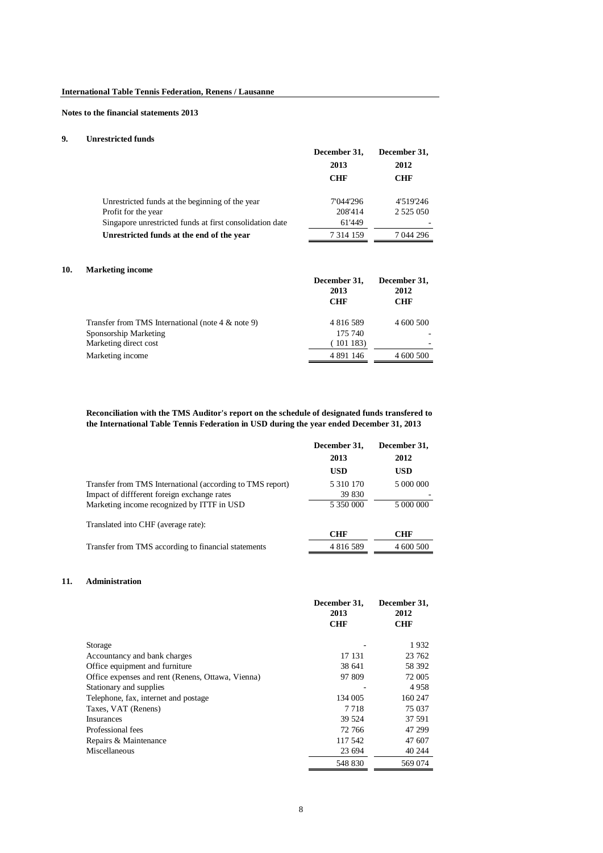### **9. Unrestricted funds**

|                                                          | December 31,<br>2013<br><b>CHF</b> | December 31,<br>2012<br>CHF |
|----------------------------------------------------------|------------------------------------|-----------------------------|
| Unrestricted funds at the beginning of the year          | 7'044'296                          | 4'519'246                   |
| Profit for the year                                      | 208'414                            | 2 5 2 5 0 5 0               |
| Singapore unrestricted funds at first consolidation date | 61'449                             |                             |
| Unrestricted funds at the end of the year                | 7 3 14 1 59                        | 7 044 296                   |

### **10. Marketing income**

|                                                         | December 31,<br>2013<br><b>CHF</b> | December 31.<br>2012<br>CHF |
|---------------------------------------------------------|------------------------------------|-----------------------------|
| Transfer from TMS International (note $4 \&$ note $9$ ) | 4 8 1 6 5 8 9                      | 4 600 500                   |
| Sponsorship Marketing                                   | 175 740                            |                             |
| Marketing direct cost                                   | 101 183)                           |                             |
| Marketing income                                        | 4 8 9 1 1 4 6                      | 4 600 500                   |

**Reconciliation with the TMS Auditor's report on the schedule of designated funds transfered to the International Table Tennis Federation in USD during the year ended December 31, 2013**

|                                                           | December 31,  | December 31, |
|-----------------------------------------------------------|---------------|--------------|
|                                                           | 2013          | 2012         |
|                                                           | <b>USD</b>    | <b>USD</b>   |
| Transfer from TMS International (according to TMS report) | 5 3 10 1 70   | 5 000 000    |
| Impact of diffferent foreign exchange rates               | 39 830        |              |
| Marketing income recognized by ITTF in USD                | 5 350 000     | 5 000 000    |
| Translated into CHF (average rate):                       |               |              |
|                                                           | <b>CHF</b>    | CHF          |
| Transfer from TMS according to financial statements       | 4 8 1 6 5 8 9 | 4 600 500    |
|                                                           |               |              |

### **11. Administration**

|                                                   | December 31,<br>2013 | December 31,<br>2012 |
|---------------------------------------------------|----------------------|----------------------|
|                                                   | <b>CHF</b>           | <b>CHF</b>           |
| Storage                                           |                      | 1932                 |
| Accountancy and bank charges                      | 17 131               | 23 762               |
| Office equipment and furniture                    | 38 641               | 58 392               |
| Office expenses and rent (Renens, Ottawa, Vienna) | 97 809               | 72 005               |
| Stationary and supplies                           |                      | 4958                 |
| Telephone, fax, internet and postage              | 134 005              | 160 247              |
| Taxes, VAT (Renens)                               | 7 7 1 8              | 75 037               |
| <i><u>Insurances</u></i>                          | 39 524               | 37 591               |
| Professional fees                                 | 72 766               | 47 299               |
| Repairs & Maintenance                             | 117 542              | 47 607               |
| Miscellaneous                                     | 23 694               | 40 244               |
|                                                   | 548 830              | 569 074              |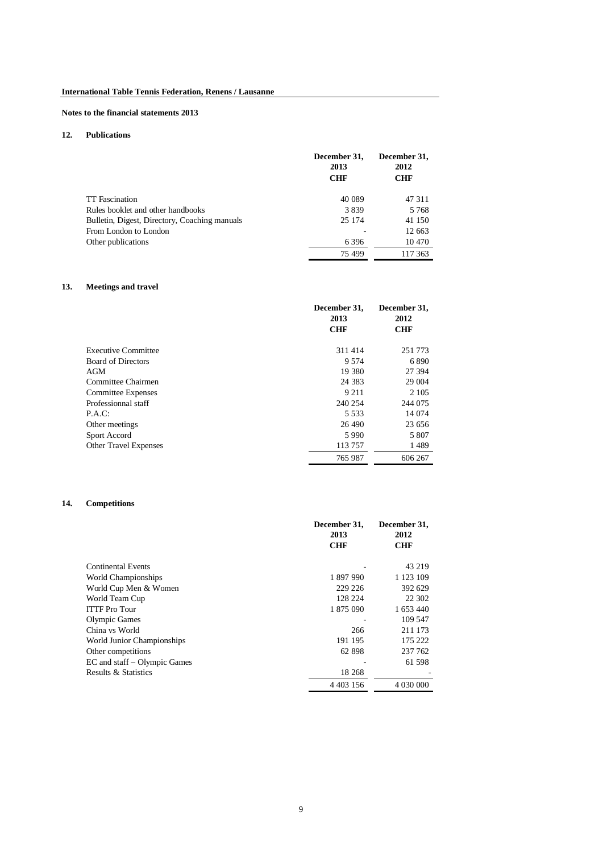### **12. Publications**

|                                               | December 31,<br>2013<br><b>CHF</b> | December 31,<br>2012<br><b>CHF</b> |
|-----------------------------------------------|------------------------------------|------------------------------------|
| <b>TT</b> Fascination                         | 40 0 89                            | 47 311                             |
| Rules booklet and other handbooks             | 3839                               | 5 7 6 8                            |
| Bulletin, Digest, Directory, Coaching manuals | 25 174                             | 41 150                             |
| From London to London                         |                                    | 12 663                             |
| Other publications                            | 6 3 9 6                            | 10 470                             |
|                                               | 75499                              | 117 363                            |

### **13. Meetings and travel**

|                              | December 31,<br>2013<br><b>CHF</b> | December 31,<br>2012<br><b>CHF</b> |
|------------------------------|------------------------------------|------------------------------------|
| Executive Committee          | 311414                             | 251 773                            |
| <b>Board of Directors</b>    | 9 5 7 4                            | 6890                               |
| AGM                          | 19 380                             | 27 394                             |
| Committee Chairmen           | 24 3 8 3                           | 29 004                             |
| Committee Expenses           | 9 2 1 1                            | 2 1 0 5                            |
| Professionnal staff          | 240 254                            | 244 075                            |
| P.A.C:                       | 5 5 3 3                            | 14 074                             |
| Other meetings               | 26 490                             | 23 656                             |
| Sport Accord                 | 5990                               | 5 807                              |
| <b>Other Travel Expenses</b> | 113757                             | 1489                               |
|                              | 765 987                            | 606 267                            |

### **14. Competitions**

|                              | December 31,<br>2013<br>CHF | December 31,<br>2012<br><b>CHF</b> |
|------------------------------|-----------------------------|------------------------------------|
| <b>Continental Events</b>    |                             | 43 219                             |
| World Championships          | 1897990                     | 1 1 2 3 1 0 9                      |
| World Cup Men & Women        | 229 226                     | 392 629                            |
| World Team Cup               | 128 224                     | 22 302                             |
| <b>ITTF Pro Tour</b>         | 1875 090                    | 1 653 440                          |
| Olympic Games                |                             | 109 547                            |
| China vs World               | 266                         | 211 173                            |
| World Junior Championships   | 191 195                     | 175 222                            |
| Other competitions           | 62 898                      | 237 762                            |
| EC and staff – Olympic Games |                             | 61 598                             |
| Results & Statistics         | 18 268                      |                                    |
|                              | 4 4 0 3 1 5 6               | 4 0 30 0 00                        |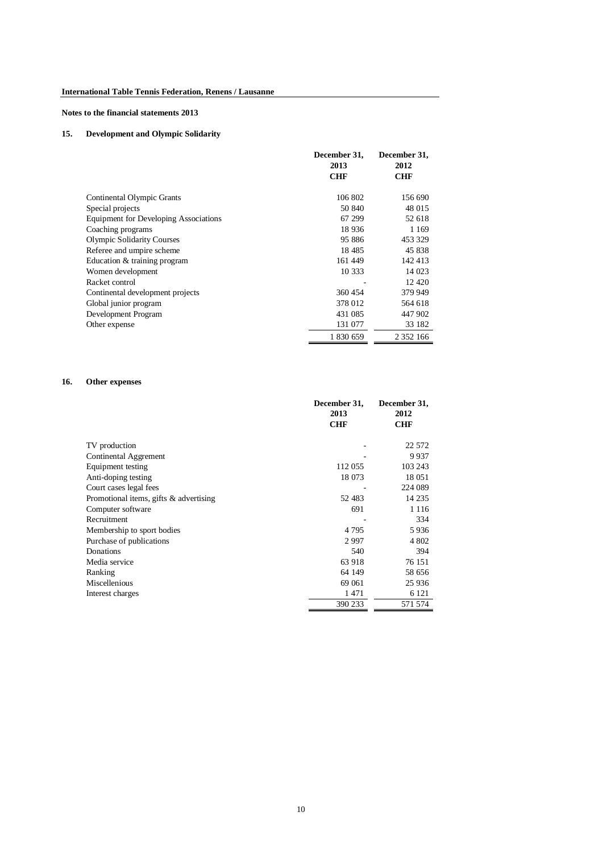### **15. Development and Olympic Solidarity**

|                                              | December 31, | December 31,  |
|----------------------------------------------|--------------|---------------|
|                                              | 2013         | 2012          |
|                                              | <b>CHF</b>   | <b>CHF</b>    |
|                                              |              |               |
| Continental Olympic Grants                   | 106 802      | 156 690       |
| Special projects                             | 50 840       | 48 015        |
| <b>Equipment for Developing Associations</b> | 67 299       | 52 618        |
| Coaching programs                            | 18 9 36      | 1 1 6 9       |
| <b>Olympic Solidarity Courses</b>            | 95 886       | 453 329       |
| Referee and umpire scheme                    | 18485        | 45 838        |
| Education & training program                 | 161 449      | 142413        |
| Women development                            | 10 3 33      | 14 023        |
| Racket control                               |              | 12 4 20       |
| Continental development projects             | 360454       | 379 949       |
| Global junior program                        | 378 012      | 564 618       |
| Development Program                          | 431 085      | 447 902       |
| Other expense                                | 131 077      | 33 182        |
|                                              | 1830659      | 2 3 5 2 1 6 6 |

### **16. Other expenses**

|                                        | December 31, | December 31, |
|----------------------------------------|--------------|--------------|
|                                        | 2013         | 2012         |
|                                        | <b>CHF</b>   | <b>CHF</b>   |
|                                        |              |              |
| TV production                          |              | 22 572       |
| Continental Aggrement                  |              | 9937         |
| Equipment testing                      | 112 055      | 103 243      |
| Anti-doping testing                    | 18 073       | 18 051       |
| Court cases legal fees                 |              | 224 089      |
| Promotional items, gifts & advertising | 52 483       | 14 2 35      |
| Computer software                      | 691          | 1 1 1 6      |
| Recruitment                            |              | 334          |
| Membership to sport bodies             | 4795         | 5936         |
| Purchase of publications               | 2997         | 4 8 0 2      |
| Donations                              | 540          | 394          |
| Media service                          | 63 918       | 76 151       |
| Ranking                                | 64 149       | 58 656       |
| Miscellenious                          | 69 061       | 25 9 36      |
| Interest charges                       | 1471         | 6 1 2 1      |
|                                        | 390 233      | 571 574      |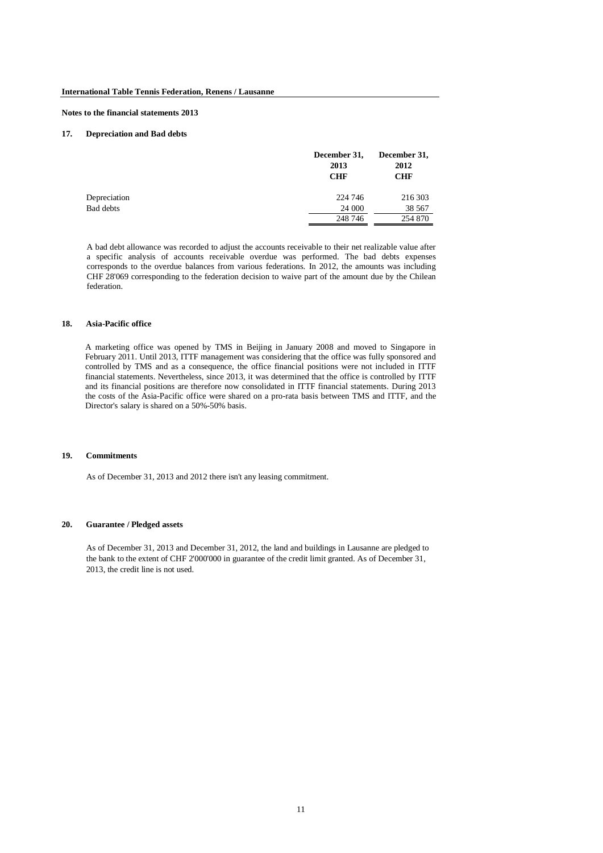#### **17. Depreciation and Bad debts**

|                  | December 31,<br>2013<br><b>CHF</b> | December 31,<br>2012<br><b>CHF</b> |
|------------------|------------------------------------|------------------------------------|
| Depreciation     | 224 746                            | 216 303                            |
| <b>Bad debts</b> | 24 000                             | 38 5 67                            |
|                  | 248 746                            | 254 870                            |

A bad debt allowance was recorded to adjust the accounts receivable to their net realizable value after a specific analysis of accounts receivable overdue was performed. The bad debts expenses corresponds to the overdue balances from various federations. In 2012, the amounts was including CHF 28'069 corresponding to the federation decision to waive part of the amount due by the Chilean federation.

#### **18. Asia-Pacific office**

A marketing office was opened by TMS in Beijing in January 2008 and moved to Singapore in February 2011. Until 2013, ITTF management was considering that the office was fully sponsored and controlled by TMS and as a consequence, the office financial positions were not included in ITTF financial statements. Nevertheless, since 2013, it was determined that the office is controlled by ITTF and its financial positions are therefore now consolidated in ITTF financial statements. During 2013 the costs of the Asia-Pacific office were shared on a pro-rata basis between TMS and ITTF, and the Director's salary is shared on a 50%-50% basis.

#### **19. Commitments**

As of December 31, 2013 and 2012 there isn't any leasing commitment.

### **20. Guarantee / Pledged assets**

As of December 31, 2013 and December 31, 2012, the land and buildings in Lausanne are pledged to the bank to the extent of CHF 2'000'000 in guarantee of the credit limit granted. As of December 31, 2013, the credit line is not used.